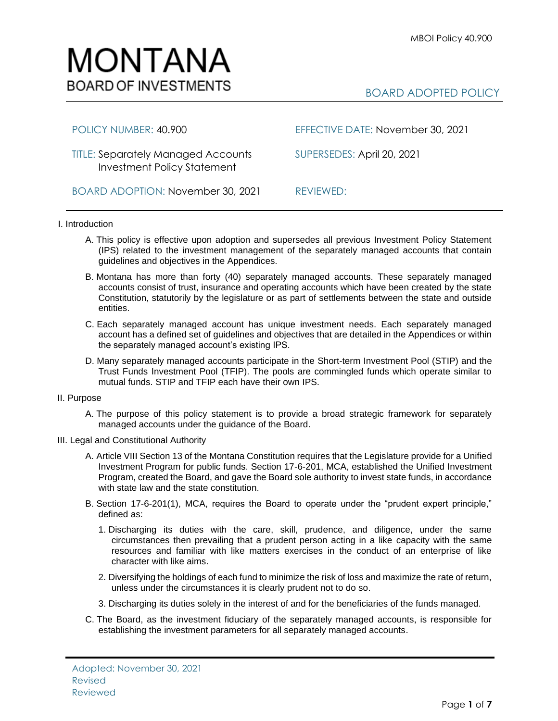

# BOARD ADOPTED POLICY

TITLE: Separately Managed Accounts SUPERSEDES: April 20, 2021 Investment Policy Statement

POLICY NUMBER: 40.900 EFFECTIVE DATE: November 30, 2021

BOARD ADOPTION: November 30, 2021 REVIEWED:

# I. Introduction

- A. This policy is effective upon adoption and supersedes all previous Investment Policy Statement (IPS) related to the investment management of the separately managed accounts that contain guidelines and objectives in the Appendices.
- B. Montana has more than forty (40) separately managed accounts. These separately managed accounts consist of trust, insurance and operating accounts which have been created by the state Constitution, statutorily by the legislature or as part of settlements between the state and outside entities.
- C. Each separately managed account has unique investment needs. Each separately managed account has a defined set of guidelines and objectives that are detailed in the Appendices or within the separately managed account's existing IPS.
- D. Many separately managed accounts participate in the Short-term Investment Pool (STIP) and the Trust Funds Investment Pool (TFIP). The pools are commingled funds which operate similar to mutual funds. STIP and TFIP each have their own IPS.

# II. Purpose

A. The purpose of this policy statement is to provide a broad strategic framework for separately managed accounts under the guidance of the Board.

# III. Legal and Constitutional Authority

- A. Article VIII Section 13 of the Montana Constitution requires that the Legislature provide for a Unified Investment Program for public funds. Section 17-6-201, MCA, established the Unified Investment Program, created the Board, and gave the Board sole authority to invest state funds, in accordance with state law and the state constitution.
- B. Section 17-6-201(1), MCA, requires the Board to operate under the "prudent expert principle," defined as:
	- 1. Discharging its duties with the care, skill, prudence, and diligence, under the same circumstances then prevailing that a prudent person acting in a like capacity with the same resources and familiar with like matters exercises in the conduct of an enterprise of like character with like aims.
	- 2. Diversifying the holdings of each fund to minimize the risk of loss and maximize the rate of return, unless under the circumstances it is clearly prudent not to do so.
	- 3. Discharging its duties solely in the interest of and for the beneficiaries of the funds managed.
- C. The Board, as the investment fiduciary of the separately managed accounts, is responsible for establishing the investment parameters for all separately managed accounts.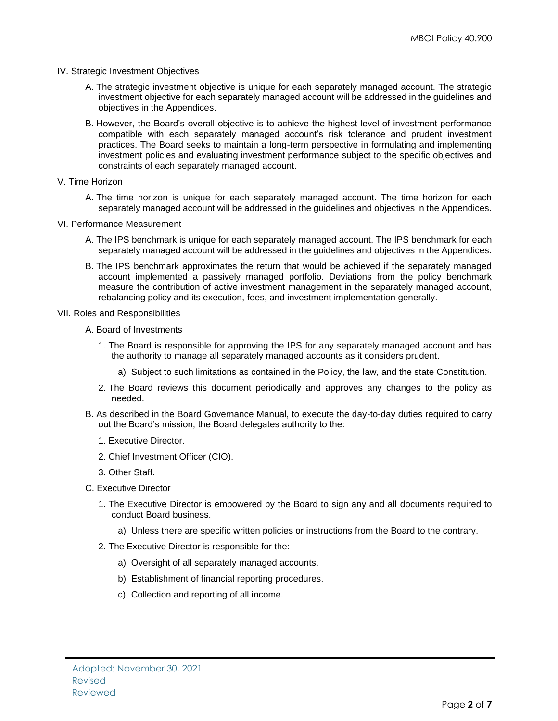- IV. Strategic Investment Objectives
	- A. The strategic investment objective is unique for each separately managed account. The strategic investment objective for each separately managed account will be addressed in the guidelines and objectives in the Appendices.
	- B. However, the Board's overall objective is to achieve the highest level of investment performance compatible with each separately managed account's risk tolerance and prudent investment practices. The Board seeks to maintain a long-term perspective in formulating and implementing investment policies and evaluating investment performance subject to the specific objectives and constraints of each separately managed account.
- V. Time Horizon
	- A. The time horizon is unique for each separately managed account. The time horizon for each separately managed account will be addressed in the guidelines and objectives in the Appendices.
- VI. Performance Measurement
	- A. The IPS benchmark is unique for each separately managed account. The IPS benchmark for each separately managed account will be addressed in the guidelines and objectives in the Appendices.
	- B. The IPS benchmark approximates the return that would be achieved if the separately managed account implemented a passively managed portfolio. Deviations from the policy benchmark measure the contribution of active investment management in the separately managed account, rebalancing policy and its execution, fees, and investment implementation generally.
- VII. Roles and Responsibilities
	- A. Board of Investments
		- 1. The Board is responsible for approving the IPS for any separately managed account and has the authority to manage all separately managed accounts as it considers prudent.
			- a) Subject to such limitations as contained in the Policy, the law, and the state Constitution.
		- 2. The Board reviews this document periodically and approves any changes to the policy as needed.
	- B. As described in the Board Governance Manual, to execute the day-to-day duties required to carry out the Board's mission, the Board delegates authority to the:
		- 1. Executive Director.
		- 2. Chief Investment Officer (CIO).
		- 3. Other Staff.
	- C. Executive Director
		- 1. The Executive Director is empowered by the Board to sign any and all documents required to conduct Board business.
			- a) Unless there are specific written policies or instructions from the Board to the contrary.
		- 2. The Executive Director is responsible for the:
			- a) Oversight of all separately managed accounts.
			- b) Establishment of financial reporting procedures.
			- c) Collection and reporting of all income.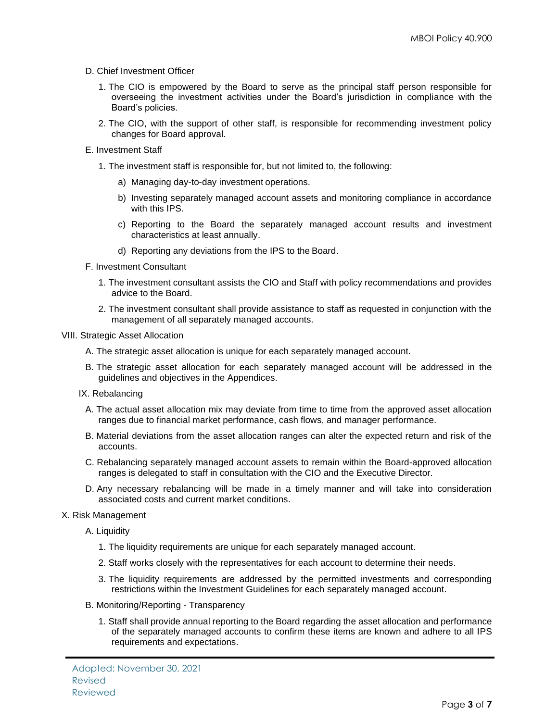# D. Chief Investment Officer

- 1. The CIO is empowered by the Board to serve as the principal staff person responsible for overseeing the investment activities under the Board's jurisdiction in compliance with the Board's policies.
- 2. The CIO, with the support of other staff, is responsible for recommending investment policy changes for Board approval.

#### E. Investment Staff

- 1. The investment staff is responsible for, but not limited to, the following:
	- a) Managing day-to-day investment operations.
	- b) Investing separately managed account assets and monitoring compliance in accordance with this IPS.
	- c) Reporting to the Board the separately managed account results and investment characteristics at least annually.
	- d) Reporting any deviations from the IPS to the Board.
- F. Investment Consultant
	- 1. The investment consultant assists the CIO and Staff with policy recommendations and provides advice to the Board.
	- 2. The investment consultant shall provide assistance to staff as requested in conjunction with the management of all separately managed accounts.

### VIII. Strategic Asset Allocation

- A. The strategic asset allocation is unique for each separately managed account.
- B. The strategic asset allocation for each separately managed account will be addressed in the guidelines and objectives in the Appendices.
- IX. Rebalancing
	- A. The actual asset allocation mix may deviate from time to time from the approved asset allocation ranges due to financial market performance, cash flows, and manager performance.
	- B. Material deviations from the asset allocation ranges can alter the expected return and risk of the accounts.
	- C. Rebalancing separately managed account assets to remain within the Board-approved allocation ranges is delegated to staff in consultation with the CIO and the Executive Director.
	- D. Any necessary rebalancing will be made in a timely manner and will take into consideration associated costs and current market conditions.

#### X. Risk Management

A. Liquidity

- 1. The liquidity requirements are unique for each separately managed account.
- 2. Staff works closely with the representatives for each account to determine their needs.
- 3. The liquidity requirements are addressed by the permitted investments and corresponding restrictions within the Investment Guidelines for each separately managed account.
- B. Monitoring/Reporting Transparency
	- 1. Staff shall provide annual reporting to the Board regarding the asset allocation and performance of the separately managed accounts to confirm these items are known and adhere to all IPS requirements and expectations.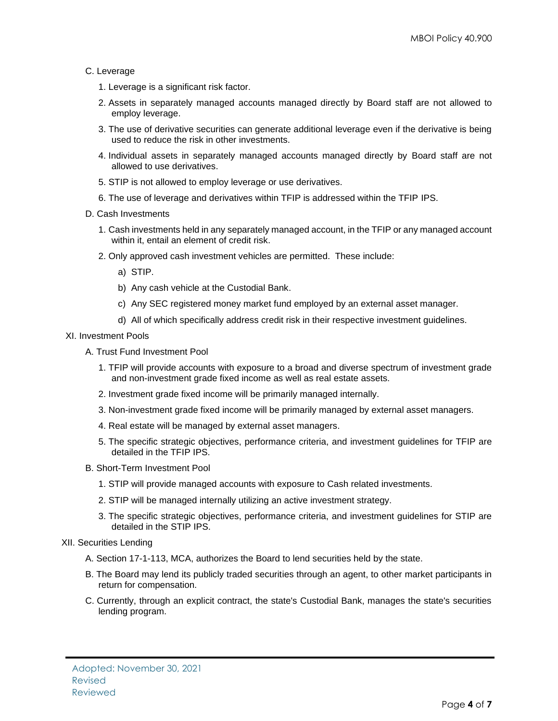# C. Leverage

- 1. Leverage is a significant risk factor.
- 2. Assets in separately managed accounts managed directly by Board staff are not allowed to employ leverage.
- 3. The use of derivative securities can generate additional leverage even if the derivative is being used to reduce the risk in other investments.
- 4. Individual assets in separately managed accounts managed directly by Board staff are not allowed to use derivatives.
- 5. STIP is not allowed to employ leverage or use derivatives.
- 6. The use of leverage and derivatives within TFIP is addressed within the TFIP IPS.
- D. Cash Investments
	- 1. Cash investments held in any separately managed account, in the TFIP or any managed account within it, entail an element of credit risk.
	- 2. Only approved cash investment vehicles are permitted. These include:
		- a) STIP.
		- b) Any cash vehicle at the Custodial Bank.
		- c) Any SEC registered money market fund employed by an external asset manager.
		- d) All of which specifically address credit risk in their respective investment guidelines.

# XI. Investment Pools

- A. Trust Fund Investment Pool
	- 1. TFIP will provide accounts with exposure to a broad and diverse spectrum of investment grade and non-investment grade fixed income as well as real estate assets.
	- 2. Investment grade fixed income will be primarily managed internally.
	- 3. Non-investment grade fixed income will be primarily managed by external asset managers.
	- 4. Real estate will be managed by external asset managers.
	- 5. The specific strategic objectives, performance criteria, and investment guidelines for TFIP are detailed in the TFIP IPS.
- B. Short-Term Investment Pool
	- 1. STIP will provide managed accounts with exposure to Cash related investments.
	- 2. STIP will be managed internally utilizing an active investment strategy.
	- 3. The specific strategic objectives, performance criteria, and investment guidelines for STIP are detailed in the STIP IPS.
- XII. Securities Lending
	- A. Section 17-1-113, MCA, authorizes the Board to lend securities held by the state.
	- B. The Board may lend its publicly traded securities through an agent, to other market participants in return for compensation.
	- C. Currently, through an explicit contract, the state's Custodial Bank, manages the state's securities lending program.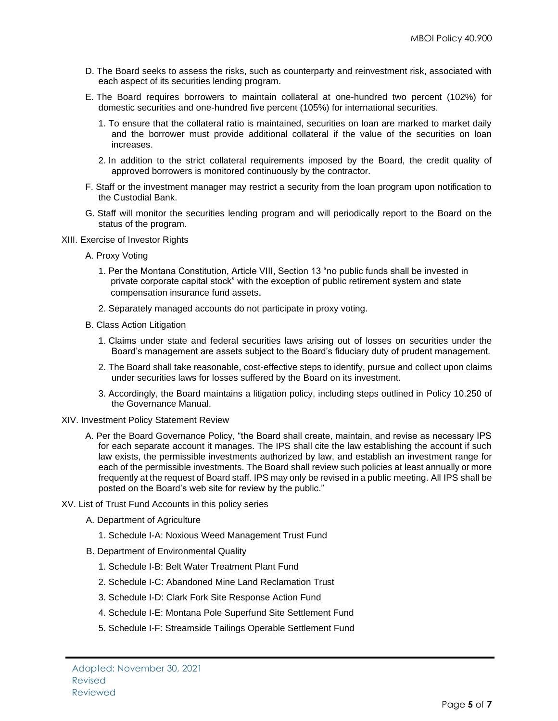- D. The Board seeks to assess the risks, such as counterparty and reinvestment risk, associated with each aspect of its securities lending program.
- E. The Board requires borrowers to maintain collateral at one-hundred two percent (102%) for domestic securities and one-hundred five percent (105%) for international securities.
	- 1. To ensure that the collateral ratio is maintained, securities on loan are marked to market daily and the borrower must provide additional collateral if the value of the securities on loan increases.
	- 2. In addition to the strict collateral requirements imposed by the Board, the credit quality of approved borrowers is monitored continuously by the contractor.
- F. Staff or the investment manager may restrict a security from the loan program upon notification to the Custodial Bank.
- G. Staff will monitor the securities lending program and will periodically report to the Board on the status of the program.
- XIII. Exercise of Investor Rights
	- A. Proxy Voting
		- 1. Per the Montana Constitution, Article VIII, Section 13 "no public funds shall be invested in private corporate capital stock" with the exception of public retirement system and state compensation insurance fund assets.
		- 2. Separately managed accounts do not participate in proxy voting.
	- B. Class Action Litigation
		- 1. Claims under state and federal securities laws arising out of losses on securities under the Board's management are assets subject to the Board's fiduciary duty of prudent management.
		- 2. The Board shall take reasonable, cost-effective steps to identify, pursue and collect upon claims under securities laws for losses suffered by the Board on its investment.
		- 3. Accordingly, the Board maintains a litigation policy, including steps outlined in Policy 10.250 of the Governance Manual.
- XIV. Investment Policy Statement Review
	- A. Per the Board Governance Policy, "the Board shall create, maintain, and revise as necessary IPS for each separate account it manages. The IPS shall cite the law establishing the account if such law exists, the permissible investments authorized by law, and establish an investment range for each of the permissible investments. The Board shall review such policies at least annually or more frequently at the request of Board staff. IPS may only be revised in a public meeting. All IPS shall be posted on the Board's web site for review by the public."
- XV. List of Trust Fund Accounts in this policy series
	- A. Department of Agriculture
		- 1. Schedule I-A: Noxious Weed Management Trust Fund
	- B. Department of Environmental Quality
		- 1. Schedule I-B: Belt Water Treatment Plant Fund
		- 2. Schedule I-C: Abandoned Mine Land Reclamation Trust
		- 3. Schedule I-D: Clark Fork Site Response Action Fund
		- 4. Schedule I-E: Montana Pole Superfund Site Settlement Fund
		- 5. Schedule I-F: Streamside Tailings Operable Settlement Fund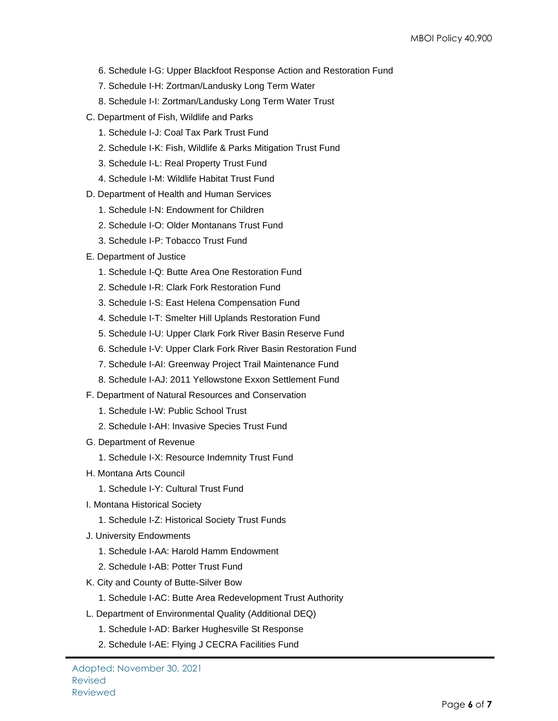- 6. Schedule I-G: Upper Blackfoot Response Action and Restoration Fund
- 7. Schedule I-H: Zortman/Landusky Long Term Water
- 8. Schedule I-I: Zortman/Landusky Long Term Water Trust
- C. Department of Fish, Wildlife and Parks
	- 1. Schedule I-J: Coal Tax Park Trust Fund
	- 2. Schedule I-K: Fish, Wildlife & Parks Mitigation Trust Fund
	- 3. Schedule I-L: Real Property Trust Fund
	- 4. Schedule I-M: Wildlife Habitat Trust Fund
- D. Department of Health and Human Services
	- 1. Schedule I-N: Endowment for Children
	- 2. Schedule I-O: Older Montanans Trust Fund
	- 3. Schedule I-P: Tobacco Trust Fund
- E. Department of Justice
	- 1. Schedule I-Q: Butte Area One Restoration Fund
	- 2. Schedule I-R: Clark Fork Restoration Fund
	- 3. Schedule I-S: East Helena Compensation Fund
	- 4. Schedule I-T: Smelter Hill Uplands Restoration Fund
	- 5. Schedule I-U: Upper Clark Fork River Basin Reserve Fund
	- 6. Schedule I-V: Upper Clark Fork River Basin Restoration Fund
	- 7. Schedule I-AI: Greenway Project Trail Maintenance Fund
	- 8. Schedule I-AJ: 2011 Yellowstone Exxon Settlement Fund
- F. Department of Natural Resources and Conservation
	- 1. Schedule I-W: Public School Trust
	- 2. Schedule I-AH: Invasive Species Trust Fund
- G. Department of Revenue
	- 1. Schedule I-X: Resource Indemnity Trust Fund
- H. Montana Arts Council
	- 1. Schedule I-Y: Cultural Trust Fund
- I. Montana Historical Society
	- 1. Schedule I-Z: Historical Society Trust Funds
- J. University Endowments
	- 1. Schedule I-AA: Harold Hamm Endowment
	- 2. Schedule I-AB: Potter Trust Fund
- K. City and County of Butte-Silver Bow
	- 1. Schedule I-AC: Butte Area Redevelopment Trust Authority
- L. Department of Environmental Quality (Additional DEQ)
	- 1. Schedule I-AD: Barker Hughesville St Response
	- 2. Schedule I-AE: Flying J CECRA Facilities Fund